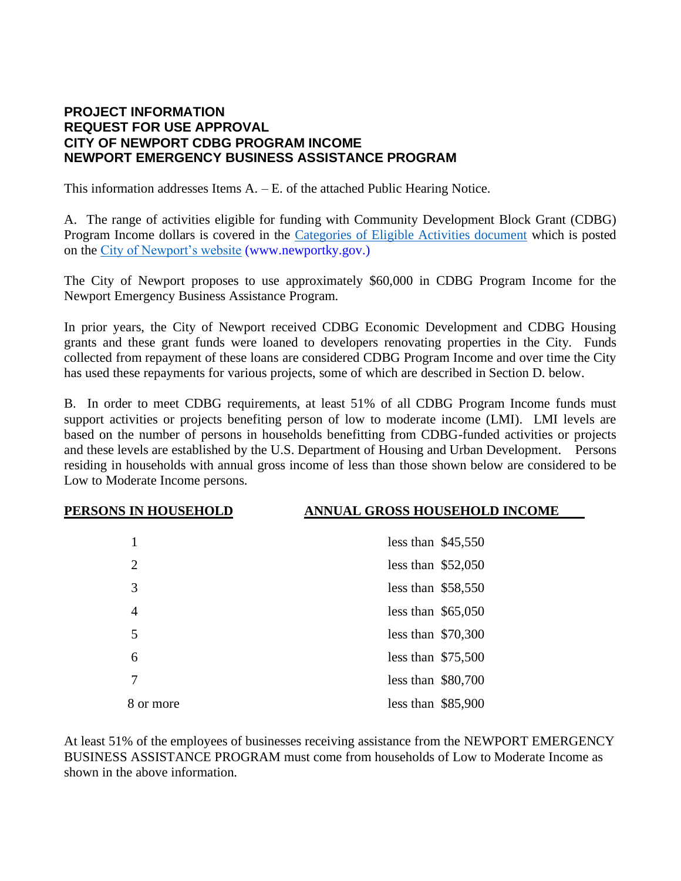## **PROJECT INFORMATION REQUEST FOR USE APPROVAL CITY OF NEWPORT CDBG PROGRAM INCOME NEWPORT EMERGENCY BUSINESS ASSISTANCE PROGRAM**

This information addresses Items A. – E. of the attached Public Hearing Notice.

A. The range of activities eligible for funding with Community Development Block Grant (CDBG) Program Income dollars is covered in the [Categories of Eligible Activities document](http://newportky.gov/City-Government/CDBG-State%20Program%20Eligible-Activities.pdf) which is posted on the [City of Newport's website](http://newportky.gov/City-Government/Economic-Development.aspx#CDBGPublicHearingMeetingAccess) (www.newportky.gov.)

The City of Newport proposes to use approximately \$60,000 in CDBG Program Income for the Newport Emergency Business Assistance Program.

In prior years, the City of Newport received CDBG Economic Development and CDBG Housing grants and these grant funds were loaned to developers renovating properties in the City. Funds collected from repayment of these loans are considered CDBG Program Income and over time the City has used these repayments for various projects, some of which are described in Section D. below.

B. In order to meet CDBG requirements, at least 51% of all CDBG Program Income funds must support activities or projects benefiting person of low to moderate income (LMI). LMI levels are based on the number of persons in households benefitting from CDBG-funded activities or projects and these levels are established by the U.S. Department of Housing and Urban Development. Persons residing in households with annual gross income of less than those shown below are considered to be Low to Moderate Income persons.

## **PERSONS IN HOUSEHOLD ANNUAL GROSS HOUSEHOLD INCOME**

|                | less than $$45,550$ |
|----------------|---------------------|
| $\overline{2}$ | less than $$52,050$ |
| 3              | less than $$58,550$ |
| $\overline{4}$ | less than $$65,050$ |
| 5              | less than $$70,300$ |
| 6              | less than $$75,500$ |
| 7              | less than $$80,700$ |
| 8 or more      | less than $$85,900$ |

At least 51% of the employees of businesses receiving assistance from the NEWPORT EMERGENCY BUSINESS ASSISTANCE PROGRAM must come from households of Low to Moderate Income as shown in the above information.